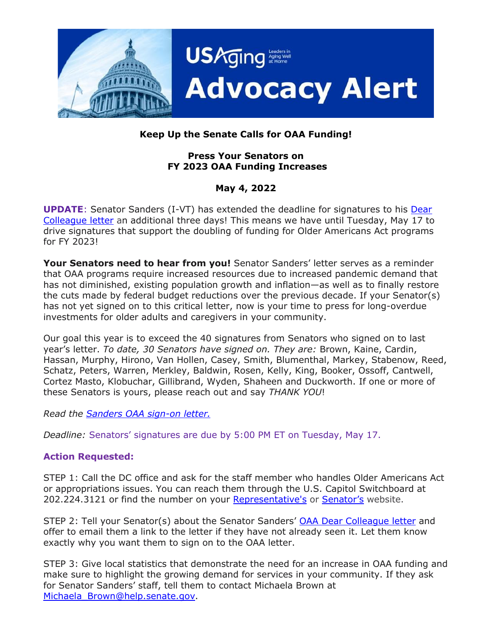

# **Keep Up the Senate Calls for OAA Funding!**

### **Press Your Senators on FY 2023 OAA Funding Increases**

## **May 4, 2022**

**UPDATE**: Senator Sanders (I-VT) has extended the deadline for signatures to his [Dear](https://www.usaging.org/Files/4.21.22%20OAA_FY23senate.pdf)  [Colleague letter](https://www.usaging.org/Files/4.21.22%20OAA_FY23senate.pdf) an additional three days! This means we have until Tuesday, May 17 to drive signatures that support the doubling of funding for Older Americans Act programs for FY 2023!

**Your Senators need to hear from you!** Senator Sanders' letter serves as a reminder that OAA programs require increased resources due to increased pandemic demand that has not diminished, existing population growth and inflation—as well as to finally restore the cuts made by federal budget reductions over the previous decade. If your Senator(s) has not yet signed on to this critical letter, now is your time to press for long-overdue investments for older adults and caregivers in your community.

Our goal this year is to exceed the 40 signatures from Senators who signed on to last year's letter. *To date, 30 Senators have signed on. They are:* Brown, Kaine, Cardin, Hassan, Murphy, Hirono, Van Hollen, Casey, Smith, Blumenthal, Markey, Stabenow, Reed, Schatz, Peters, Warren, Merkley, Baldwin, Rosen, Kelly, King, Booker, Ossoff, Cantwell, Cortez Masto, Klobuchar, Gillibrand, Wyden, Shaheen and Duckworth. If one or more of these Senators is yours, please reach out and say *THANK YOU*!

*Read the [Sanders OAA sign-on letter.](https://www.usaging.org/Files/4.21.22%20OAA_FY23senate.pdf)*

*Deadline:* Senators' signatures are due by 5:00 PM ET on Tuesday, May 17.

### **Action Requested:**

STEP 1: Call the DC office and ask for the staff member who handles Older Americans Act or appropriations issues. You can reach them through the U.S. Capitol Switchboard at 202.224.3121 or find the number on your [Representative's](https://www.house.gov/representatives) or [Senator](https://www.senate.gov/)'s website.

STEP 2: Tell your Senator(s) about the Senator Sanders' [OAA Dear Colleague letter](https://www.usaging.org/Files/4.21.22%20OAA_FY23senate.pdf) and offer to email them a link to the letter if they have not already seen it. Let them know exactly why you want them to sign on to the OAA letter.

STEP 3: Give local statistics that demonstrate the need for an increase in OAA funding and make sure to highlight the growing demand for services in your community. If they ask for Senator Sanders' staff, tell them to contact Michaela Brown at Michaela Brown@help.senate.gov.